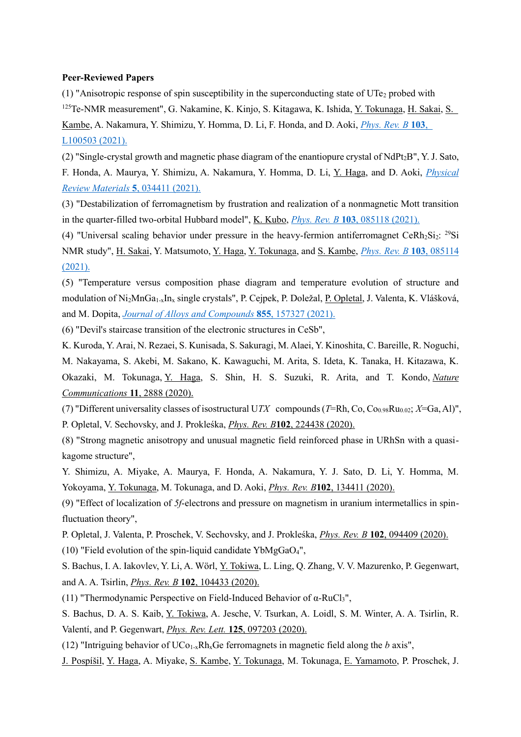### **Peer-Reviewed Papers**

(1) "Anisotropic response of spin susceptibility in the superconducting state of UTe<sub>2</sub> probed with <sup>125</sup>Te-NMR measurement", G. Nakamine, K. Kinjo, S. Kitagawa, K. Ishida, <u>Y. Tokunaga, H. Sakai, S.</u> Kambe, A. Nakamura, Y. Shimizu, Y. Homma, D. Li, F. Honda, and D. Aoki, *[Phys. Rev. B](https://link.aps.org/doi/10.1103/PhysRevB.103.L100503)* **[103](https://link.aps.org/doi/10.1103/PhysRevB.103.L100503)**[,](https://link.aps.org/doi/10.1103/PhysRevB.103.L100503)  [L100503 \(2021\).](https://link.aps.org/doi/10.1103/PhysRevB.103.L100503)

(2) "Single-crystal growth and magnetic phase diagram of the enantiopure crystal of NdPt2B", Y. J. Sato, F. Honda, A. Maurya, Y. Shimizu, A. Nakamura, Y. Homma, D. Li, Y. Haga, and D. Aoki, *[Physical](https://link.aps.org/doi/10.1103/PhysRevMaterials.5.034411)  [Review Materials](https://link.aps.org/doi/10.1103/PhysRevMaterials.5.034411)* **[5](https://link.aps.org/doi/10.1103/PhysRevMaterials.5.034411)**[, 034411 \(2021\).](https://link.aps.org/doi/10.1103/PhysRevMaterials.5.034411)

(3) "Destabilization of ferromagnetism by frustration and realization of a nonmagnetic Mott transition in the quarter-filled two-orbital Hubbard model", K. Kubo, *[Phys. Rev. B](https://link.aps.org/doi/10.1103/PhysRevB.103.085118)* **[103](https://link.aps.org/doi/10.1103/PhysRevB.103.085118)**[, 085118 \(2021\).](https://link.aps.org/doi/10.1103/PhysRevB.103.085118)

(4) "Universal scaling behavior under pressure in the heavy-fermion antiferromagnet CeRh $_2$ Si<sub>2</sub>: <sup>29</sup>Si NMR study", H. Sakai, Y. Matsumoto, Y. Haga, Y. Tokunaga, and S. Kambe, *[Phys. Rev. B](https://link.aps.org/doi/10.1103/PhysRevB.103.085114)* **[103](https://link.aps.org/doi/10.1103/PhysRevB.103.085114)**[, 085114](https://link.aps.org/doi/10.1103/PhysRevB.103.085114)  [\(2021\).](https://link.aps.org/doi/10.1103/PhysRevB.103.085114)

(5) "Temperature versus composition phase diagram and temperature evolution of structure and modulation of Ni2MnGa1-xIn<sup>x</sup> single crystals", P. Cejpek, P. Doležal, P. Opletal, J. Valenta, K. Vlášková, and M. Dopita, *[Journal of Alloys and Compounds](https://www.sciencedirect.com/science/article/pii/S0925838820336914)* **[855](https://www.sciencedirect.com/science/article/pii/S0925838820336914)**[, 157327 \(2021\).](https://www.sciencedirect.com/science/article/pii/S0925838820336914)

(6) "Devil's staircase transition of the electronic structures in CeSb",

K. Kuroda, Y. Arai, N. Rezaei, S. Kunisada, S. Sakuragi, M. Alaei, Y. Kinoshita, C. Bareille, R. Noguchi, M. Nakayama, S. Akebi, M. Sakano, K. Kawaguchi, M. Arita, S. Ideta, K. Tanaka, H. Kitazawa, K. Okazaki, M. Tokunaga, Y. Haga, S. Shin, H. S. Suzuki, R. Arita, and T. Kondo, *[Nature](https://www.nature.com/articles/s41467-020-16707-6)  [Communications](https://www.nature.com/articles/s41467-020-16707-6)* **[11](https://www.nature.com/articles/s41467-020-16707-6)**[, 2888 \(2020\).](https://www.nature.com/articles/s41467-020-16707-6)

(7) "Different universality classes of isostructural UTX compounds (T=Rh, Co, Co<sub>0.98</sub>Ru<sub>0.02</sub>; *X*=Ga, Al)", P. Opletal, V. Sechovsky, and J. Prokleśka, *[Phys. Rev. B](https://link.aps.org/doi/10.1103/PhysRevB.102.224438)***[102](https://link.aps.org/doi/10.1103/PhysRevB.102.224438)**[, 224438 \(2020\).](https://link.aps.org/doi/10.1103/PhysRevB.102.224438)

(8) "Strong magnetic anisotropy and unusual magnetic field reinforced phase in URhSn with a quasikagome structure",

Y. Shimizu, A. Miyake, A. Maurya, F. Honda, A. Nakamura, Y. J. Sato, D. Li, Y. Homma, M. Yokoyama, Y. Tokunaga, M. Tokunaga, and D. Aoki, *[Phys. Rev. B](https://link.aps.org/doi/10.1103/PhysRevB.102.134411)***[102](https://link.aps.org/doi/10.1103/PhysRevB.102.134411)**[, 134411 \(2020\).](https://link.aps.org/doi/10.1103/PhysRevB.102.134411)

(9) "Effect of localization of *5f*-electrons and pressure on magnetism in uranium intermetallics in spinfluctuation theory",

P. Opletal, J. Valenta, P. Proschek, V. Sechovsky, and J. Prokleśka, *[Phys. Rev. B](https://link.aps.org/doi/10.1103/PhysRevB.102.094409)* **[102](https://link.aps.org/doi/10.1103/PhysRevB.102.094409)**[, 094409 \(2020\).](https://link.aps.org/doi/10.1103/PhysRevB.102.094409) (10) "Field evolution of the spin-liquid candidate YbMgGaO<sub>4</sub>",

S. Bachus, I. A. Iakovlev, Y. Li, A. Wörl, Y. Tokiwa, L. Ling, Q. Zhang, V. V. Mazurenko, P. Gegenwart, and A. A. Tsirlin, *[Phys. Rev. B](https://link.aps.org/doi/10.1103/PhysRevB.102.104433)* **[102](https://link.aps.org/doi/10.1103/PhysRevB.102.104433)**[, 104433 \(2020\).](https://link.aps.org/doi/10.1103/PhysRevB.102.104433)

(11) "Thermodynamic Perspective on Field-Induced Behavior of α-RuCl3",

S. Bachus, D. A. S. Kaib, Y. Tokiwa, A. Jesche, V. Tsurkan, A. Loidl, S. M. Winter, A. A. Tsirlin, R. Valentí, and P. Gegenwart, *[Phys. Rev. Lett.](https://link.aps.org/doi/10.1103/PhysRevLett.125.097203)* **[125](https://link.aps.org/doi/10.1103/PhysRevLett.125.097203)**[, 097203 \(2020\).](https://link.aps.org/doi/10.1103/PhysRevLett.125.097203)

(12) "Intriguing behavior of  $UCo<sub>1-x</sub>Rh<sub>x</sub>Ge$  ferromagnets in magnetic field along the *b* axis",

J. Pospíšil, Y. Haga, A. Miyake, S. Kambe, Y. Tokunaga, M. Tokunaga, E. Yamamoto, P. Proschek, J.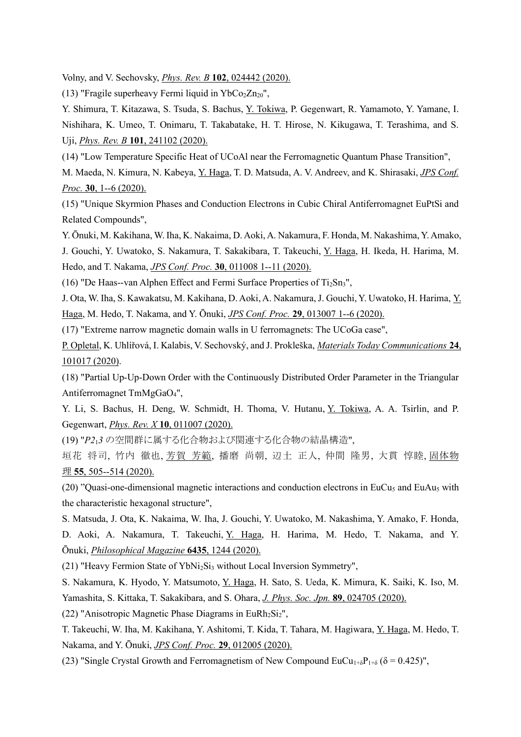Volny, and V. Sechovsky, *[Phys. Rev. B](https://link.aps.org/doi/10.1103/PhysRevB.102.024442)* **[102](https://link.aps.org/doi/10.1103/PhysRevB.102.024442)**[, 024442 \(2020\).](https://link.aps.org/doi/10.1103/PhysRevB.102.024442)

(13) "Fragile superheavy Fermi liquid in  $YbCo<sub>2</sub>Zn<sub>20</sub>$ ",

Y. Shimura, T. Kitazawa, S. Tsuda, S. Bachus, Y. Tokiwa, P. Gegenwart, R. Yamamoto, Y. Yamane, I. Nishihara, K. Umeo, T. Onimaru, T. Takabatake, H. T. Hirose, N. Kikugawa, T. Terashima, and S. Uji, *[Phys. Rev. B](https://link.aps.org/doi/10.1103/PhysRevB.101.241102)* **[101](https://link.aps.org/doi/10.1103/PhysRevB.101.241102)**[, 241102 \(2020\).](https://link.aps.org/doi/10.1103/PhysRevB.101.241102)

(14) "Low Temperature Specific Heat of UCoAl near the Ferromagnetic Quantum Phase Transition",

M. Maeda, N. Kimura, N. Kabeya, Y. Haga, T. D. Matsuda, A. V. Andreev, and K. Shirasaki, *[JPS Conf.](https://journals.jps.jp/doi/10.7566/JPSCP.30.011034)  [Proc.](https://journals.jps.jp/doi/10.7566/JPSCP.30.011034)* **[30](https://journals.jps.jp/doi/10.7566/JPSCP.30.011034)**[, 1--6 \(2020\).](https://journals.jps.jp/doi/10.7566/JPSCP.30.011034)

(15) "Unique Skyrmion Phases and Conduction Electrons in Cubic Chiral Antiferromagnet EuPtSi and Related Compounds",

Y. Ōnuki, M. Kakihana, W. Iha, K. Nakaima, D. Aoki, A. Nakamura, F. Honda, M. Nakashima, Y. Amako,

J. Gouchi, Y. Uwatoko, S. Nakamura, T. Sakakibara, T. Takeuchi, Y. Haga, H. Ikeda, H. Harima, M. Hedo, and T. Nakama, *[JPS Conf. Proc.](https://journals.jps.jp/doi/10.7566/JPSCP.30.011008)* **[30](https://journals.jps.jp/doi/10.7566/JPSCP.30.011008)**[, 011008 1--11 \(2020\).](https://journals.jps.jp/doi/10.7566/JPSCP.30.011008)

(16) "De Haas--van Alphen Effect and Fermi Surface Properties of  $Ti<sub>2</sub>Sn<sub>3</sub>$ ",

J. Ota, W. Iha, S. Kawakatsu, M. Kakihana, D. Aoki, A. Nakamura, J. Gouchi, Y. Uwatoko, H. Harima, Y. Haga, M. Hedo, T. Nakama, and Y. Ōnuki, *[JPS Conf. Proc.](https://journals.jps.jp/doi/10.7566/JPSCP.29.013007)* **[29](https://journals.jps.jp/doi/10.7566/JPSCP.29.013007)**[, 013007 1--6 \(2020\).](https://journals.jps.jp/doi/10.7566/JPSCP.29.013007)

(17) "Extreme narrow magnetic domain walls in U ferromagnets: The UCoGa case",

P. Opletal, K. Uhlířová, I. Kalabis, V. Sechovský, and J. Prokleška, *[Materials Today Communications](http://www.sciencedirect.com/science/article/pii/S2352492819318598)* **[24](http://www.sciencedirect.com/science/article/pii/S2352492819318598)**[,](http://www.sciencedirect.com/science/article/pii/S2352492819318598)  [101017 \(2020\).](http://www.sciencedirect.com/science/article/pii/S2352492819318598)

(18) "Partial Up-Up-Down Order with the Continuously Distributed Order Parameter in the Triangular Antiferromagnet TmMgGaO4",

Y. Li, S. Bachus, H. Deng, W. Schmidt, H. Thoma, V. Hutanu, Y. Tokiwa, A. A. Tsirlin, and P. Gegenwart, *[Phys. Rev. X](https://link.aps.org/doi/10.1103/PhysRevX.10.011007)* **[10](https://link.aps.org/doi/10.1103/PhysRevX.10.011007)**[, 011007 \(2020\).](https://link.aps.org/doi/10.1103/PhysRevX.10.011007)

(19) "*P2*1*3* の空間群に属する化合物および関連する化合物の結晶構造",

垣花 将司, 竹内 徹也, 芳賀 芳範, 播磨 尚朝, 辺土 正人, 仲間 隆男, 大貫 惇睦, [固体物](https://www.agne.co.jp/kotaibutsuri/kota1055.htm) [理](https://www.agne.co.jp/kotaibutsuri/kota1055.htm) **[55](https://www.agne.co.jp/kotaibutsuri/kota1055.htm)**[, 505--514 \(2020\).](https://www.agne.co.jp/kotaibutsuri/kota1055.htm)

(20) "Quasi-one-dimensional magnetic interactions and conduction electrons in EuCu<sub>5</sub> and EuAu<sub>5</sub> with the characteristic hexagonal structure",

S. Matsuda, J. Ota, K. Nakaima, W. Iha, J. Gouchi, Y. Uwatoko, M. Nakashima, Y. Amako, F. Honda, D. Aoki, A. Nakamura, T. Takeuchi, Y. Haga, H. Harima, M. Hedo, T. Nakama, and Y. Ōnuki, *[Philosophical Magazine](https://www.tandfonline.com/doi/full/10.1080/14786435.2019.1708498)* **[6435](https://www.tandfonline.com/doi/full/10.1080/14786435.2019.1708498)**[, 1244 \(2020\).](https://www.tandfonline.com/doi/full/10.1080/14786435.2019.1708498)

(21) "Heavy Fermion State of YbNi<sub>2</sub>Si<sub>3</sub> without Local Inversion Symmetry",

S. Nakamura, K. Hyodo, Y. Matsumoto, Y. Haga, H. Sato, S. Ueda, K. Mimura, K. Saiki, K. Iso, M. Yamashita, S. Kittaka, T. Sakakibara, and S. Ohara, *[J. Phys. Soc. Jpn.](https://journals.jps.jp/doi/10.7566/JPSJ.89.024705)* **[89](https://journals.jps.jp/doi/10.7566/JPSJ.89.024705)**[, 024705 \(2020\).](https://journals.jps.jp/doi/10.7566/JPSJ.89.024705)

(22) "Anisotropic Magnetic Phase Diagrams in EuRh<sub>2</sub>Si<sub>2</sub>",

T. Takeuchi, W. Iha, M. Kakihana, Y. Ashitomi, T. Kida, T. Tahara, M. Hagiwara, Y. Haga, M. Hedo, T. Nakama, and Y. Ōnuki, *[JPS Conf. Proc.](https://journals.jps.jp/doi/10.7566/JPSCP.29.012005)* **[29](https://journals.jps.jp/doi/10.7566/JPSCP.29.012005)**[, 012005 \(2020\).](https://journals.jps.jp/doi/10.7566/JPSCP.29.012005)

(23) "Single Crystal Growth and Ferromagnetism of New Compound  $EuCu_{1+δ}P_{1+δ}$  ( $\delta = 0.425$ )",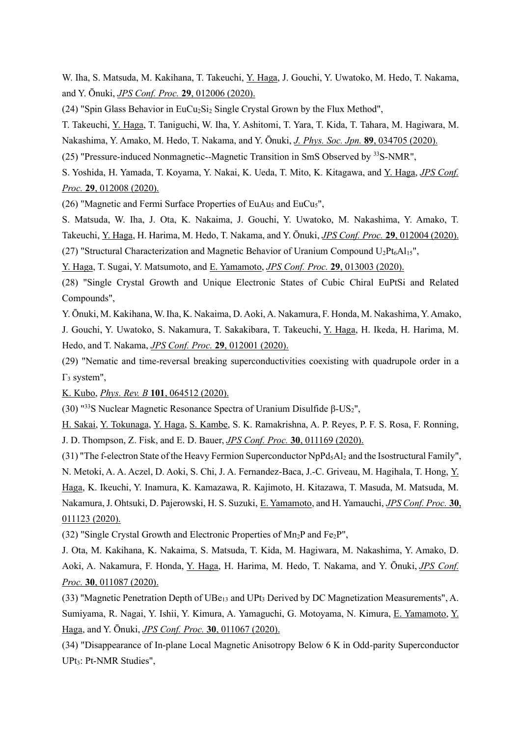W. Iha, S. Matsuda, M. Kakihana, T. Takeuchi, Y. Haga, J. Gouchi, Y. Uwatoko, M. Hedo, T. Nakama, and Y. Ōnuki, *[JPS Conf. Proc.](https://journals.jps.jp/doi/10.7566/JPSCP.29.012006)* **[29](https://journals.jps.jp/doi/10.7566/JPSCP.29.012006)**[, 012006 \(2020\).](https://journals.jps.jp/doi/10.7566/JPSCP.29.012006)

(24) "Spin Glass Behavior in EuCu<sub>2</sub>Si<sub>2</sub> Single Crystal Grown by the Flux Method",

T. Takeuchi, Y. Haga, T. Taniguchi, W. Iha, Y. Ashitomi, T. Yara, T. Kida, T. Tahara, M. Hagiwara, M. Nakashima, Y. Amako, M. Hedo, T. Nakama, and Y. Ōnuki, *[J. Phys. Soc. Jpn.](https://doi.org/10.7566/jpsj.89.034705)* **[89](https://doi.org/10.7566/jpsj.89.034705)**[, 034705 \(2020\).](https://doi.org/10.7566/jpsj.89.034705)

(25) "Pressure-induced Nonmagnetic--Magnetic Transition in SmS Observed by <sup>33</sup>S-NMR",

S. Yoshida, H. Yamada, T. Koyama, Y. Nakai, K. Ueda, T. Mito, K. Kitagawa, and Y. Haga, *[JPS Conf.](https://journals.jps.jp/doi/10.7566/JPSCP.29.012008)  [Proc.](https://journals.jps.jp/doi/10.7566/JPSCP.29.012008)* **[29](https://journals.jps.jp/doi/10.7566/JPSCP.29.012008)**[, 012008 \(2020\).](https://journals.jps.jp/doi/10.7566/JPSCP.29.012008)

(26) "Magnetic and Fermi Surface Properties of EuAu<sub>5</sub> and EuCu<sub>5</sub>",

S. Matsuda, W. Iha, J. Ota, K. Nakaima, J. Gouchi, Y. Uwatoko, M. Nakashima, Y. Amako, T. Takeuchi, Y. Haga, H. Harima, M. Hedo, T. Nakama, and Y. Ōnuki, *[JPS Conf. Proc.](https://journals.jps.jp/doi/10.7566/JPSCP.29.012004)* **[29](https://journals.jps.jp/doi/10.7566/JPSCP.29.012004)**[, 012004 \(2020\).](https://journals.jps.jp/doi/10.7566/JPSCP.29.012004)

(27) "Structural Characterization and Magnetic Behavior of Uranium Compound  $U_2Pt_6Al<sub>15</sub>$ ",

Y. Haga, T. Sugai, Y. Matsumoto, and E. Yamamoto, *[JPS Conf. Proc.](https://journals.jps.jp/doi/10.7566/JPSCP.29.013003)* **[29](https://journals.jps.jp/doi/10.7566/JPSCP.29.013003)**[, 013003 \(2020\).](https://journals.jps.jp/doi/10.7566/JPSCP.29.013003)

(28) "Single Crystal Growth and Unique Electronic States of Cubic Chiral EuPtSi and Related Compounds",

Y. Ōnuki, M. Kakihana, W. Iha, K. Nakaima, D. Aoki, A. Nakamura, F. Honda, M. Nakashima, Y. Amako, J. Gouchi, Y. Uwatoko, S. Nakamura, T. Sakakibara, T. Takeuchi, Y. Haga, H. Ikeda, H. Harima, M.

Hedo, and T. Nakama, *[JPS Conf. Proc.](https://journals.jps.jp/doi/10.7566/JPSCP.29.012001)* **[29](https://journals.jps.jp/doi/10.7566/JPSCP.29.012001)**[, 012001 \(2020\).](https://journals.jps.jp/doi/10.7566/JPSCP.29.012001)

(29) "Nematic and time-reversal breaking superconductivities coexisting with quadrupole order in a  $Γ<sub>3</sub> system",$ 

K. Kubo, *[Phys. Rev. B](https://link.aps.org/doi/10.1103/PhysRevB.101.064512)* **[101](https://link.aps.org/doi/10.1103/PhysRevB.101.064512)**[, 064512 \(2020\).](https://link.aps.org/doi/10.1103/PhysRevB.101.064512)

(30) "33S Nuclear Magnetic Resonance Spectra of Uranium Disulfide β-US<sub>2</sub>",

H. Sakai, Y. Tokunaga, Y. Haga, S. Kambe, S. K. Ramakrishna, A. P. Reyes, P. F. S. Rosa, F. Ronning, J. D. Thompson, Z. Fisk, and E. D. Bauer, *[JPS Conf. Proc.](https://journals.jps.jp/doi/10.7566/JPSCP.30.011169)* **[30](https://journals.jps.jp/doi/10.7566/JPSCP.30.011169)**[, 011169 \(2020\).](https://journals.jps.jp/doi/10.7566/JPSCP.30.011169)

(31) "The f-electron State of the Heavy Fermion Superconductor  $NpPd<sub>5</sub>Al<sub>2</sub>$  and the Isostructural Family", N. Metoki, A. A. Aczel, D. Aoki, S. Chi, J. A. Fernandez-Baca, J.-C. Griveau, M. Hagihala, T. Hong, Y. Haga, K. Ikeuchi, Y. Inamura, K. Kamazawa, R. Kajimoto, H. Kitazawa, T. Masuda, M. Matsuda, M. Nakamura, J. Ohtsuki, D. Pajerowski, H. S. Suzuki, E. Yamamoto, and H. Yamauchi, *[JPS Conf. Proc.](https://journals.jps.jp/doi/10.7566/JPSCP.30.011123)* **[30](https://journals.jps.jp/doi/10.7566/JPSCP.30.011123)**[,](https://journals.jps.jp/doi/10.7566/JPSCP.30.011123)  [011123 \(2020\).](https://journals.jps.jp/doi/10.7566/JPSCP.30.011123)

(32) "Single Crystal Growth and Electronic Properties of  $Mn_2P$  and Fe<sub>2</sub>P",

J. Ota, M. Kakihana, K. Nakaima, S. Matsuda, T. Kida, M. Hagiwara, M. Nakashima, Y. Amako, D. Aoki, A. Nakamura, F. Honda, Y. Haga, H. Harima, M. Hedo, T. Nakama, and Y. Ōnuki, *[JPS Conf.](https://journals.jps.jp/doi/10.7566/JPSCP.30.011087)  [Proc.](https://journals.jps.jp/doi/10.7566/JPSCP.30.011087)* **[30](https://journals.jps.jp/doi/10.7566/JPSCP.30.011087)**[, 011087 \(2020\).](https://journals.jps.jp/doi/10.7566/JPSCP.30.011087)

(33) "Magnetic Penetration Depth of  $UBe_{13}$  and  $UPt_3$  Derived by DC Magnetization Measurements", A. Sumiyama, R. Nagai, Y. Ishii, Y. Kimura, A. Yamaguchi, G. Motoyama, N. Kimura, E. Yamamoto, Y. Haga, and Y. Ōnuki, *[JPS Conf. Proc.](https://journals.jps.jp/doi/10.7566/JPSCP.30.011067)* **[30](https://journals.jps.jp/doi/10.7566/JPSCP.30.011067)**[, 011067 \(2020\).](https://journals.jps.jp/doi/10.7566/JPSCP.30.011067)

(34) "Disappearance of In-plane Local Magnetic Anisotropy Below 6 K in Odd-parity Superconductor UPt3: Pt-NMR Studies",